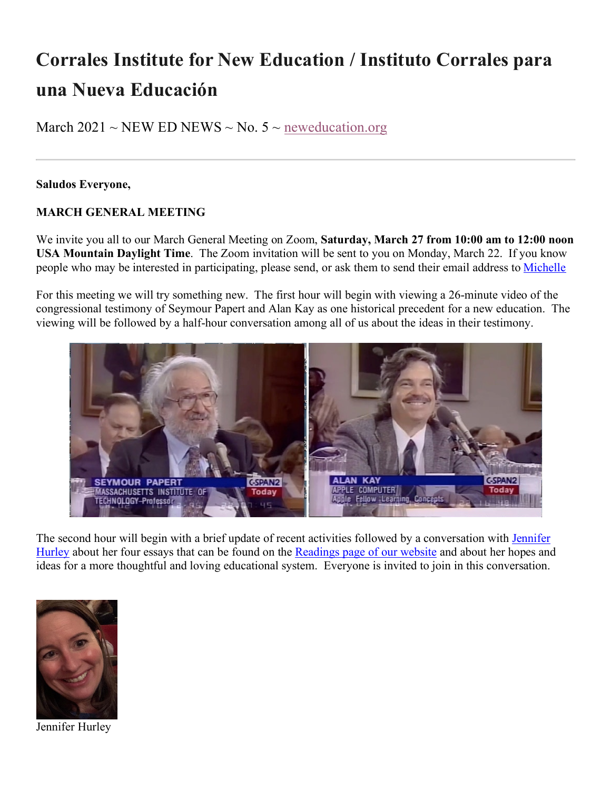# **Corrales Institute for New Education / Instituto Corrales para una Nueva Educación**

March 2021 ~ NEW ED NEWS ~ No.  $5$  ~ neweducation.org

#### **Saludos Everyone,**

### **MARCH GENERAL MEETING**

We invite you all to our March General Meeting on Zoom, **Saturday, March 27 from 10:00 am to 12:00 noon USA Mountain Daylight Time**. The Zoom invitation will be sent to you on Monday, March 22. If you know people who may be interested in participating, please send, or ask them to send their email address to Michelle

For this meeting we will try something new. The first hour will begin with viewing a 26-minute video of the congressional testimony of Seymour Papert and Alan Kay as one historical precedent for a new education. The viewing will be followed by a half-hour conversation among all of us about the ideas in their testimony.



The second hour will begin with a brief update of recent activities followed by a conversation with Jennifer Hurley about her four essays that can be found on the Readings page of our website and about her hopes and ideas for a more thoughtful and loving educational system. Everyone is invited to join in this conversation.



Jennifer Hurley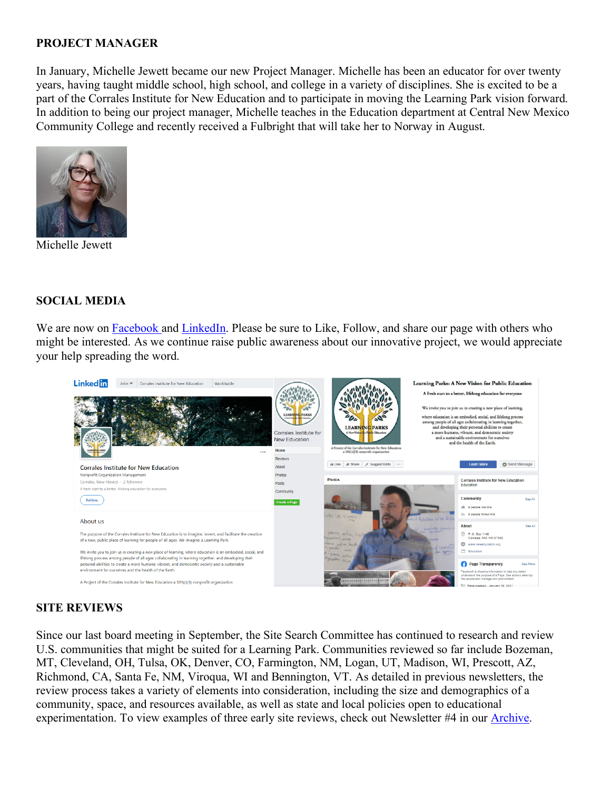#### **PROJECT MANAGER**

In January, Michelle Jewett became our new Project Manager. Michelle has been an educator for over twenty years, having taught middle school, high school, and college in a variety of disciplines. She is excited to be a part of the Corrales Institute for New Education and to participate in moving the Learning Park vision forward. In addition to being our project manager, Michelle teaches in the Education department at Central New Mexico Community College and recently received a Fulbright that will take her to Norway in August.



Michelle Jewett

#### **SOCIAL MEDIA**

We are now on Facebook and LinkedIn. Please be sure to Like, Follow, and share our page with others who might be interested. As we continue raise public awareness about our innovative project, we would appreciate your help spreading the word.



#### **SITE REVIEWS**

Since our last board meeting in September, the Site Search Committee has continued to research and review U.S. communities that might be suited for a Learning Park. Communities reviewed so far include Bozeman, MT, Cleveland, OH, Tulsa, OK, Denver, CO, Farmington, NM, Logan, UT, Madison, WI, Prescott, AZ, Richmond, CA, Santa Fe, NM, Viroqua, WI and Bennington, VT. As detailed in previous newsletters, the review process takes a variety of elements into consideration, including the size and demographics of a community, space, and resources available, as well as state and local policies open to educational experimentation. To view examples of three early site reviews, check out Newsletter #4 in our Archive.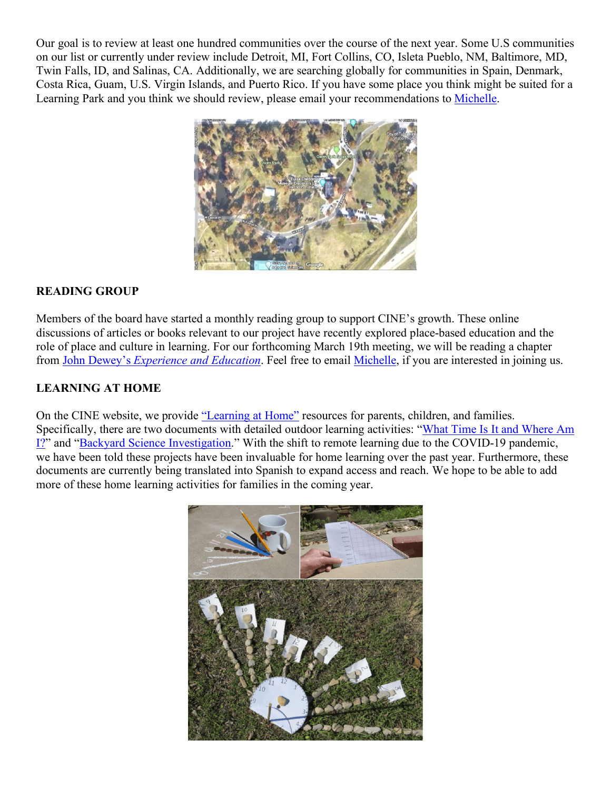Our goal is to review at least one hundred communities over the course of the next year. Some U.S communities on our list or currently under review include Detroit, MI, Fort Collins, CO, Isleta Pueblo, NM, Baltimore, MD, Twin Falls, ID, and Salinas, CA. Additionally, we are searching globally for communities in Spain, Denmark, Costa Rica, Guam, U.S. Virgin Islands, and Puerto Rico. If you have some place you think might be suited for a Learning Park and you think we should review, please email your recommendations to Michelle.



## **READING GROUP**

Members of the board have started a monthly reading group to support CINE's growth. These online discussions of articles or books relevant to our project have recently explored place-based education and the role of place and culture in learning. For our forthcoming March 19th meeting, we will be reading a chapter from John Dewey's *Experience and Education*. Feel free to email Michelle, if you are interested in joining us.

### **LEARNING AT HOME**

On the CINE website, we provide "Learning at Home" resources for parents, children, and families. Specifically, there are two documents with detailed outdoor learning activities: "What Time Is It and Where Am I?" and "Backyard Science Investigation." With the shift to remote learning due to the COVID-19 pandemic, we have been told these projects have been invaluable for home learning over the past year. Furthermore, these documents are currently being translated into Spanish to expand access and reach. We hope to be able to add more of these home learning activities for families in the coming year.